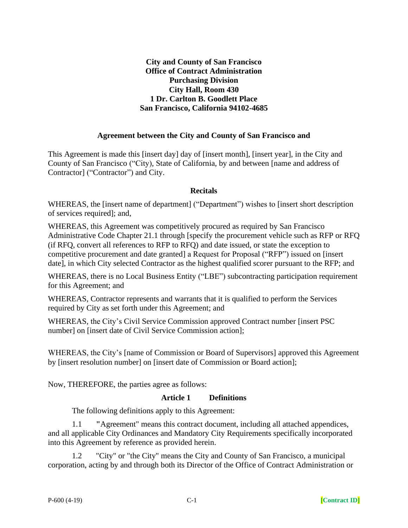#### **City and County of San Francisco Office of Contract Administration Purchasing Division City Hall, Room 430 1 Dr. Carlton B. Goodlett Place San Francisco, California 94102-4685**

#### **Agreement between the City and County of San Francisco and**

This Agreement is made this [insert day] day of [insert month], [insert year], in the City and County of San Francisco ("City), State of California, by and between [name and address of Contractor] ("Contractor") and City.

#### **Recitals**

WHEREAS, the [insert name of department] ("Department") wishes to [insert short description of services required]; and,

WHEREAS, this Agreement was competitively procured as required by San Francisco Administrative Code Chapter 21.1 through [specify the procurement vehicle such as RFP or RFQ (if RFQ, convert all references to RFP to RFQ) and date issued, or state the exception to competitive procurement and date granted] a Request for Proposal ("RFP") issued on [insert date], in which City selected Contractor as the highest qualified scorer pursuant to the RFP; and

WHEREAS, there is no Local Business Entity ("LBE") subcontracting participation requirement for this Agreement; and

WHEREAS, Contractor represents and warrants that it is qualified to perform the Services required by City as set forth under this Agreement; and

WHEREAS, the City's Civil Service Commission approved Contract number [insert PSC number] on [insert date of Civil Service Commission action];

WHEREAS, the City's [name of Commission or Board of Supervisors] approved this Agreement by [insert resolution number] on [insert date of Commission or Board action];

Now, THEREFORE, the parties agree as follows:

#### **Article 1 Definitions**

The following definitions apply to this Agreement:

1.1 **"**Agreement" means this contract document, including all attached appendices, and all applicable City Ordinances and Mandatory City Requirements specifically incorporated into this Agreement by reference as provided herein.

1.2 "City" or "the City" means the City and County of San Francisco, a municipal corporation, acting by and through both its Director of the Office of Contract Administration or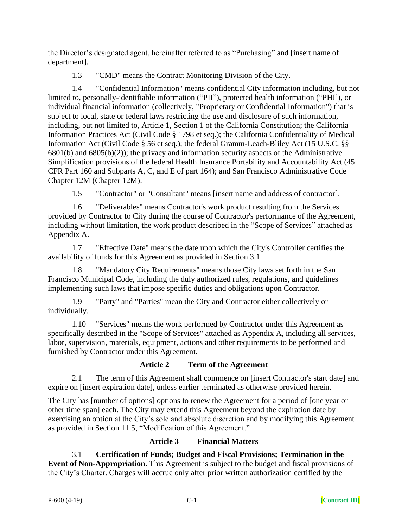the Director's designated agent, hereinafter referred to as "Purchasing" and [insert name of department].

1.3 "CMD" means the Contract Monitoring Division of the City.

1.4 "Confidential Information" means confidential City information including, but not limited to, personally-identifiable information ("PII"), protected health information ("PHI'), or individual financial information (collectively, "Proprietary or Confidential Information") that is subject to local, state or federal laws restricting the use and disclosure of such information, including, but not limited to, Article 1, Section 1 of the California Constitution; the California Information Practices Act (Civil Code § 1798 et seq.); the California Confidentiality of Medical Information Act (Civil Code § 56 et seq.); the federal Gramm-Leach-Bliley Act (15 U.S.C. §§ 6801(b) and 6805(b)(2)); the privacy and information security aspects of the Administrative Simplification provisions of the federal Health Insurance Portability and Accountability Act (45 CFR Part 160 and Subparts A, C, and E of part 164); and San Francisco Administrative Code Chapter 12M (Chapter 12M).

1.5 "Contractor" or "Consultant" means [insert name and address of contractor].

1.6 "Deliverables" means Contractor's work product resulting from the Services provided by Contractor to City during the course of Contractor's performance of the Agreement, including without limitation, the work product described in the "Scope of Services" attached as Appendix A.

1.7 "Effective Date" means the date upon which the City's Controller certifies the availability of funds for this Agreement as provided in Section 3.1.

1.8 "Mandatory City Requirements" means those City laws set forth in the San Francisco Municipal Code, including the duly authorized rules, regulations, and guidelines implementing such laws that impose specific duties and obligations upon Contractor.

1.9 "Party" and "Parties" mean the City and Contractor either collectively or individually.

1.10 "Services" means the work performed by Contractor under this Agreement as specifically described in the "Scope of Services" attached as Appendix A, including all services, labor, supervision, materials, equipment, actions and other requirements to be performed and furnished by Contractor under this Agreement.

# **Article 2 Term of the Agreement**

2.1 The term of this Agreement shall commence on [insert Contractor's start date] and expire on [insert expiration date], unless earlier terminated as otherwise provided herein.

The City has [number of options] options to renew the Agreement for a period of [one year or other time span] each. The City may extend this Agreement beyond the expiration date by exercising an option at the City's sole and absolute discretion and by modifying this Agreement as provided in Section 11.5, "Modification of this Agreement."

# **Article 3 Financial Matters**

3.1 **Certification of Funds; Budget and Fiscal Provisions; Termination in the Event of Non-Appropriation**. This Agreement is subject to the budget and fiscal provisions of the City's Charter. Charges will accrue only after prior written authorization certified by the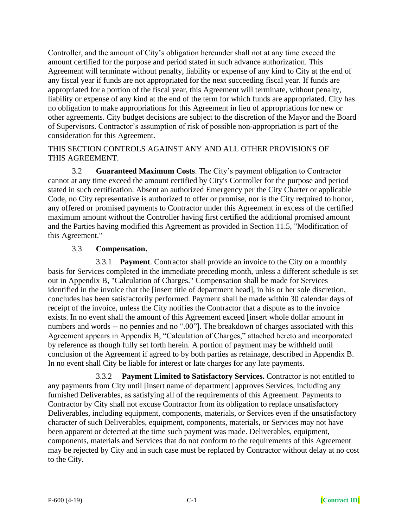Controller, and the amount of City's obligation hereunder shall not at any time exceed the amount certified for the purpose and period stated in such advance authorization. This Agreement will terminate without penalty, liability or expense of any kind to City at the end of any fiscal year if funds are not appropriated for the next succeeding fiscal year. If funds are appropriated for a portion of the fiscal year, this Agreement will terminate, without penalty, liability or expense of any kind at the end of the term for which funds are appropriated. City has no obligation to make appropriations for this Agreement in lieu of appropriations for new or other agreements. City budget decisions are subject to the discretion of the Mayor and the Board of Supervisors. Contractor's assumption of risk of possible non-appropriation is part of the consideration for this Agreement.

#### THIS SECTION CONTROLS AGAINST ANY AND ALL OTHER PROVISIONS OF THIS AGREEMENT.

3.2 **Guaranteed Maximum Costs**. The City's payment obligation to Contractor cannot at any time exceed the amount certified by City's Controller for the purpose and period stated in such certification. Absent an authorized Emergency per the City Charter or applicable Code, no City representative is authorized to offer or promise, nor is the City required to honor, any offered or promised payments to Contractor under this Agreement in excess of the certified maximum amount without the Controller having first certified the additional promised amount and the Parties having modified this Agreement as provided in Section 11.5, "Modification of this Agreement."

# 3.3 **Compensation.**

3.3.1 **Payment**. Contractor shall provide an invoice to the City on a monthly basis for Services completed in the immediate preceding month, unless a different schedule is set out in Appendix B, "Calculation of Charges." Compensation shall be made for Services identified in the invoice that the [insert title of department head], in his or her sole discretion, concludes has been satisfactorily performed. Payment shall be made within 30 calendar days of receipt of the invoice, unless the City notifies the Contractor that a dispute as to the invoice exists. In no event shall the amount of this Agreement exceed [insert whole dollar amount in numbers and words -- no pennies and no ".00"]. The breakdown of charges associated with this Agreement appears in Appendix B, "Calculation of Charges," attached hereto and incorporated by reference as though fully set forth herein. A portion of payment may be withheld until conclusion of the Agreement if agreed to by both parties as retainage, described in Appendix B. In no event shall City be liable for interest or late charges for any late payments.

3.3.2 **Payment Limited to Satisfactory Services.** Contractor is not entitled to any payments from City until [insert name of department] approves Services, including any furnished Deliverables, as satisfying all of the requirements of this Agreement. Payments to Contractor by City shall not excuse Contractor from its obligation to replace unsatisfactory Deliverables, including equipment, components, materials, or Services even if the unsatisfactory character of such Deliverables, equipment, components, materials, or Services may not have been apparent or detected at the time such payment was made. Deliverables, equipment, components, materials and Services that do not conform to the requirements of this Agreement may be rejected by City and in such case must be replaced by Contractor without delay at no cost to the City.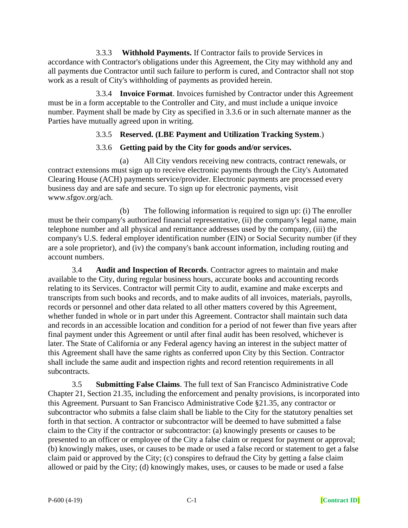3.3.3 **Withhold Payments.** If Contractor fails to provide Services in accordance with Contractor's obligations under this Agreement, the City may withhold any and all payments due Contractor until such failure to perform is cured, and Contractor shall not stop work as a result of City's withholding of payments as provided herein.

3.3.4 **Invoice Format**. Invoices furnished by Contractor under this Agreement must be in a form acceptable to the Controller and City, and must include a unique invoice number. Payment shall be made by City as specified in 3.3.6 or in such alternate manner as the Parties have mutually agreed upon in writing.

## 3.3.5 **Reserved. (LBE Payment and Utilization Tracking System**.)

## 3.3.6 **Getting paid by the City for goods and/or services.**

(a) All City vendors receiving new contracts, contract renewals, or contract extensions must sign up to receive electronic payments through the City's Automated Clearing House (ACH) payments service/provider. Electronic payments are processed every business day and are safe and secure. To sign up for electronic payments, visit www.sfgov.org/ach.

(b) The following information is required to sign up: (i) The enroller must be their company's authorized financial representative, (ii) the company's legal name, main telephone number and all physical and remittance addresses used by the company, (iii) the company's U.S. federal employer identification number (EIN) or Social Security number (if they are a sole proprietor), and (iv) the company's bank account information, including routing and account numbers.

3.4 **Audit and Inspection of Records**. Contractor agrees to maintain and make available to the City, during regular business hours, accurate books and accounting records relating to its Services. Contractor will permit City to audit, examine and make excerpts and transcripts from such books and records, and to make audits of all invoices, materials, payrolls, records or personnel and other data related to all other matters covered by this Agreement, whether funded in whole or in part under this Agreement. Contractor shall maintain such data and records in an accessible location and condition for a period of not fewer than five years after final payment under this Agreement or until after final audit has been resolved, whichever is later. The State of California or any Federal agency having an interest in the subject matter of this Agreement shall have the same rights as conferred upon City by this Section. Contractor shall include the same audit and inspection rights and record retention requirements in all subcontracts.

3.5 **Submitting False Claims**. The full text of San Francisco Administrative Code Chapter 21, Section 21.35, including the enforcement and penalty provisions, is incorporated into this Agreement. Pursuant to San Francisco Administrative Code §21.35, any contractor or subcontractor who submits a false claim shall be liable to the City for the statutory penalties set forth in that section. A contractor or subcontractor will be deemed to have submitted a false claim to the City if the contractor or subcontractor: (a) knowingly presents or causes to be presented to an officer or employee of the City a false claim or request for payment or approval; (b) knowingly makes, uses, or causes to be made or used a false record or statement to get a false claim paid or approved by the City; (c) conspires to defraud the City by getting a false claim allowed or paid by the City; (d) knowingly makes, uses, or causes to be made or used a false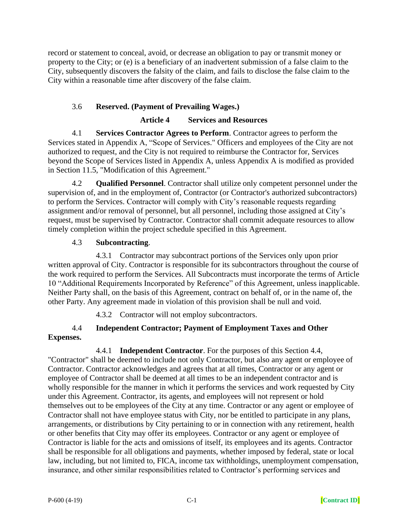record or statement to conceal, avoid, or decrease an obligation to pay or transmit money or property to the City; or (e) is a beneficiary of an inadvertent submission of a false claim to the City, subsequently discovers the falsity of the claim, and fails to disclose the false claim to the City within a reasonable time after discovery of the false claim.

# 3.6 **Reserved. (Payment of Prevailing Wages.)**

## **Article 4 Services and Resources**

4.1 **Services Contractor Agrees to Perform**. Contractor agrees to perform the Services stated in Appendix A, "Scope of Services." Officers and employees of the City are not authorized to request, and the City is not required to reimburse the Contractor for, Services beyond the Scope of Services listed in Appendix A, unless Appendix A is modified as provided in Section 11.5, "Modification of this Agreement."

4.2 **Qualified Personnel**. Contractor shall utilize only competent personnel under the supervision of, and in the employment of, Contractor (or Contractor's authorized subcontractors) to perform the Services. Contractor will comply with City's reasonable requests regarding assignment and/or removal of personnel, but all personnel, including those assigned at City's request, must be supervised by Contractor. Contractor shall commit adequate resources to allow timely completion within the project schedule specified in this Agreement.

## 4.3 **Subcontracting**.

4.3.1 Contractor may subcontract portions of the Services only upon prior written approval of City. Contractor is responsible for its subcontractors throughout the course of the work required to perform the Services. All Subcontracts must incorporate the terms of Article 10 "Additional Requirements Incorporated by Reference" of this Agreement, unless inapplicable. Neither Party shall, on the basis of this Agreement, contract on behalf of, or in the name of, the other Party. Any agreement made in violation of this provision shall be null and void.

4.3.2 Contractor will not employ subcontractors.

# 4.4 **Independent Contractor; Payment of Employment Taxes and Other Expenses.**

# 4.4.1 **Independent Contractor**. For the purposes of this Section 4.4,

"Contractor" shall be deemed to include not only Contractor, but also any agent or employee of Contractor. Contractor acknowledges and agrees that at all times, Contractor or any agent or employee of Contractor shall be deemed at all times to be an independent contractor and is wholly responsible for the manner in which it performs the services and work requested by City under this Agreement. Contractor, its agents, and employees will not represent or hold themselves out to be employees of the City at any time. Contractor or any agent or employee of Contractor shall not have employee status with City, nor be entitled to participate in any plans, arrangements, or distributions by City pertaining to or in connection with any retirement, health or other benefits that City may offer its employees. Contractor or any agent or employee of Contractor is liable for the acts and omissions of itself, its employees and its agents. Contractor shall be responsible for all obligations and payments, whether imposed by federal, state or local law, including, but not limited to, FICA, income tax withholdings, unemployment compensation, insurance, and other similar responsibilities related to Contractor's performing services and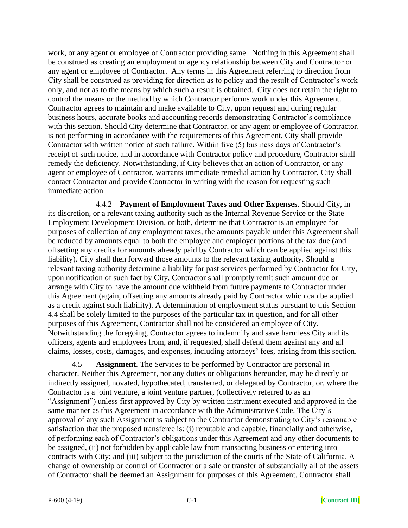work, or any agent or employee of Contractor providing same. Nothing in this Agreement shall be construed as creating an employment or agency relationship between City and Contractor or any agent or employee of Contractor. Any terms in this Agreement referring to direction from City shall be construed as providing for direction as to policy and the result of Contractor's work only, and not as to the means by which such a result is obtained. City does not retain the right to control the means or the method by which Contractor performs work under this Agreement. Contractor agrees to maintain and make available to City, upon request and during regular business hours, accurate books and accounting records demonstrating Contractor's compliance with this section. Should City determine that Contractor, or any agent or employee of Contractor, is not performing in accordance with the requirements of this Agreement, City shall provide Contractor with written notice of such failure. Within five (5) business days of Contractor's receipt of such notice, and in accordance with Contractor policy and procedure, Contractor shall remedy the deficiency. Notwithstanding, if City believes that an action of Contractor, or any agent or employee of Contractor, warrants immediate remedial action by Contractor, City shall contact Contractor and provide Contractor in writing with the reason for requesting such immediate action.

4.4.2 **Payment of Employment Taxes and Other Expenses**. Should City, in its discretion, or a relevant taxing authority such as the Internal Revenue Service or the State Employment Development Division, or both, determine that Contractor is an employee for purposes of collection of any employment taxes, the amounts payable under this Agreement shall be reduced by amounts equal to both the employee and employer portions of the tax due (and offsetting any credits for amounts already paid by Contractor which can be applied against this liability). City shall then forward those amounts to the relevant taxing authority. Should a relevant taxing authority determine a liability for past services performed by Contractor for City, upon notification of such fact by City, Contractor shall promptly remit such amount due or arrange with City to have the amount due withheld from future payments to Contractor under this Agreement (again, offsetting any amounts already paid by Contractor which can be applied as a credit against such liability). A determination of employment status pursuant to this Section 4.4 shall be solely limited to the purposes of the particular tax in question, and for all other purposes of this Agreement, Contractor shall not be considered an employee of City. Notwithstanding the foregoing, Contractor agrees to indemnify and save harmless City and its officers, agents and employees from, and, if requested, shall defend them against any and all claims, losses, costs, damages, and expenses, including attorneys' fees, arising from this section.

4.5 **Assignment**. The Services to be performed by Contractor are personal in character. Neither this Agreement, nor any duties or obligations hereunder, may be directly or indirectly assigned, novated, hypothecated, transferred, or delegated by Contractor, or, where the Contractor is a joint venture, a joint venture partner, (collectively referred to as an "Assignment") unless first approved by City by written instrument executed and approved in the same manner as this Agreement in accordance with the Administrative Code. The City's approval of any such Assignment is subject to the Contractor demonstrating to City's reasonable satisfaction that the proposed transferee is: (i) reputable and capable, financially and otherwise, of performing each of Contractor's obligations under this Agreement and any other documents to be assigned, (ii) not forbidden by applicable law from transacting business or entering into contracts with City; and (iii) subject to the jurisdiction of the courts of the State of California. A change of ownership or control of Contractor or a sale or transfer of substantially all of the assets of Contractor shall be deemed an Assignment for purposes of this Agreement. Contractor shall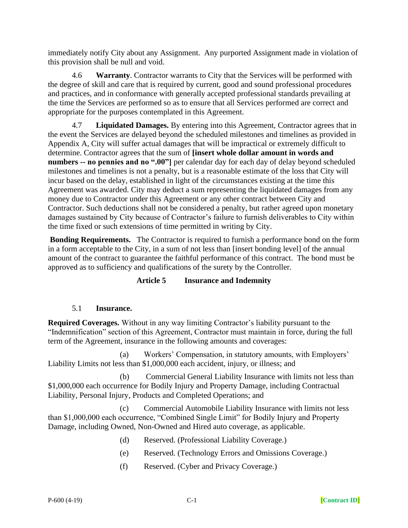immediately notify City about any Assignment. Any purported Assignment made in violation of this provision shall be null and void.

4.6 **Warranty**. Contractor warrants to City that the Services will be performed with the degree of skill and care that is required by current, good and sound professional procedures and practices, and in conformance with generally accepted professional standards prevailing at the time the Services are performed so as to ensure that all Services performed are correct and appropriate for the purposes contemplated in this Agreement.

4.7 **Liquidated Damages.** By entering into this Agreement, Contractor agrees that in the event the Services are delayed beyond the scheduled milestones and timelines as provided in Appendix A, City will suffer actual damages that will be impractical or extremely difficult to determine. Contractor agrees that the sum of **[insert whole dollar amount in words and numbers -- no pennies and no ".00"]** per calendar day for each day of delay beyond scheduled milestones and timelines is not a penalty, but is a reasonable estimate of the loss that City will incur based on the delay, established in light of the circumstances existing at the time this Agreement was awarded. City may deduct a sum representing the liquidated damages from any money due to Contractor under this Agreement or any other contract between City and Contractor. Such deductions shall not be considered a penalty, but rather agreed upon monetary damages sustained by City because of Contractor's failure to furnish deliverables to City within the time fixed or such extensions of time permitted in writing by City.

**Bonding Requirements.** The Contractor is required to furnish a performance bond on the form in a form acceptable to the City, in a sum of not less than [insert bonding level] of the annual amount of the contract to guarantee the faithful performance of this contract. The bond must be approved as to sufficiency and qualifications of the surety by the Controller.

### **Article 5 Insurance and Indemnity**

### 5.1 **Insurance.**

**Required Coverages.** Without in any way limiting Contractor's liability pursuant to the "Indemnification" section of this Agreement, Contractor must maintain in force, during the full term of the Agreement, insurance in the following amounts and coverages:

(a) Workers' Compensation, in statutory amounts, with Employers' Liability Limits not less than \$1,000,000 each accident, injury, or illness; and

(b) Commercial General Liability Insurance with limits not less than \$1,000,000 each occurrence for Bodily Injury and Property Damage, including Contractual Liability, Personal Injury, Products and Completed Operations; and

(c) Commercial Automobile Liability Insurance with limits not less than \$1,000,000 each occurrence, "Combined Single Limit" for Bodily Injury and Property Damage, including Owned, Non-Owned and Hired auto coverage, as applicable.

- (d) Reserved. (Professional Liability Coverage.)
- (e) Reserved. (Technology Errors and Omissions Coverage.)
- (f) Reserved. (Cyber and Privacy Coverage.)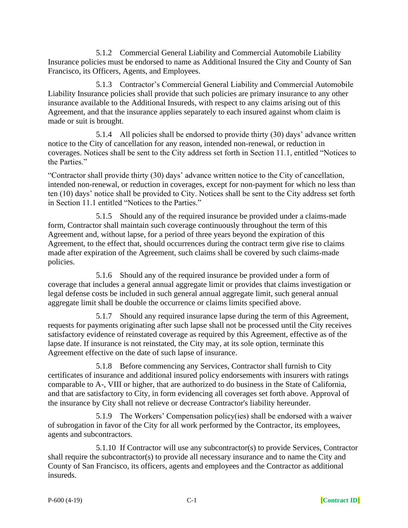5.1.2 Commercial General Liability and Commercial Automobile Liability Insurance policies must be endorsed to name as Additional Insured the City and County of San Francisco, its Officers, Agents, and Employees.

5.1.3 Contractor's Commercial General Liability and Commercial Automobile Liability Insurance policies shall provide that such policies are primary insurance to any other insurance available to the Additional Insureds, with respect to any claims arising out of this Agreement, and that the insurance applies separately to each insured against whom claim is made or suit is brought.

5.1.4 All policies shall be endorsed to provide thirty (30) days' advance written notice to the City of cancellation for any reason, intended non-renewal, or reduction in coverages. Notices shall be sent to the City address set forth in Section 11.1, entitled "Notices to the Parties."

"Contractor shall provide thirty (30) days' advance written notice to the City of cancellation, intended non-renewal, or reduction in coverages, except for non-payment for which no less than ten (10) days' notice shall be provided to City. Notices shall be sent to the City address set forth in Section 11.1 entitled "Notices to the Parties."

5.1.5 Should any of the required insurance be provided under a claims-made form, Contractor shall maintain such coverage continuously throughout the term of this Agreement and, without lapse, for a period of three years beyond the expiration of this Agreement, to the effect that, should occurrences during the contract term give rise to claims made after expiration of the Agreement, such claims shall be covered by such claims-made policies.

5.1.6 Should any of the required insurance be provided under a form of coverage that includes a general annual aggregate limit or provides that claims investigation or legal defense costs be included in such general annual aggregate limit, such general annual aggregate limit shall be double the occurrence or claims limits specified above.

5.1.7 Should any required insurance lapse during the term of this Agreement, requests for payments originating after such lapse shall not be processed until the City receives satisfactory evidence of reinstated coverage as required by this Agreement, effective as of the lapse date. If insurance is not reinstated, the City may, at its sole option, terminate this Agreement effective on the date of such lapse of insurance.

5.1.8 Before commencing any Services, Contractor shall furnish to City certificates of insurance and additional insured policy endorsements with insurers with ratings comparable to A-, VIII or higher, that are authorized to do business in the State of California, and that are satisfactory to City, in form evidencing all coverages set forth above. Approval of the insurance by City shall not relieve or decrease Contractor's liability hereunder.

5.1.9 The Workers' Compensation policy(ies) shall be endorsed with a waiver of subrogation in favor of the City for all work performed by the Contractor, its employees, agents and subcontractors.

5.1.10 If Contractor will use any subcontractor(s) to provide Services, Contractor shall require the subcontractor(s) to provide all necessary insurance and to name the City and County of San Francisco, its officers, agents and employees and the Contractor as additional insureds.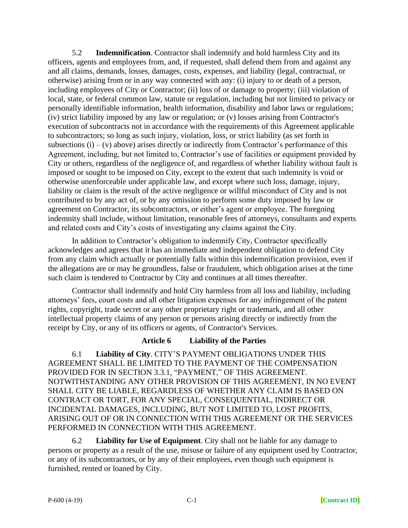5.2 **Indemnification**. Contractor shall indemnify and hold harmless City and its officers, agents and employees from, and, if requested, shall defend them from and against any and all claims, demands, losses, damages, costs, expenses, and liability (legal, contractual, or otherwise) arising from or in any way connected with any: (i) injury to or death of a person, including employees of City or Contractor; (ii) loss of or damage to property; (iii) violation of local, state, or federal common law, statute or regulation, including but not limited to privacy or personally identifiable information, health information, disability and labor laws or regulations; (iv) strict liability imposed by any law or regulation; or (v) losses arising from Contractor's execution of subcontracts not in accordance with the requirements of this Agreement applicable to subcontractors; so long as such injury, violation, loss, or strict liability (as set forth in subsections  $(i) - (v)$  above) arises directly or indirectly from Contractor's performance of this Agreement, including, but not limited to, Contractor's use of facilities or equipment provided by City or others, regardless of the negligence of, and regardless of whether liability without fault is imposed or sought to be imposed on City, except to the extent that such indemnity is void or otherwise unenforceable under applicable law, and except where such loss, damage, injury, liability or claim is the result of the active negligence or willful misconduct of City and is not contributed to by any act of, or by any omission to perform some duty imposed by law or agreement on Contractor, its subcontractors, or either's agent or employee. The foregoing indemnity shall include, without limitation, reasonable fees of attorneys, consultants and experts and related costs and City's costs of investigating any claims against the City.

In addition to Contractor's obligation to indemnify City, Contractor specifically acknowledges and agrees that it has an immediate and independent obligation to defend City from any claim which actually or potentially falls within this indemnification provision, even if the allegations are or may be groundless, false or fraudulent, which obligation arises at the time such claim is tendered to Contractor by City and continues at all times thereafter.

Contractor shall indemnify and hold City harmless from all loss and liability, including attorneys' fees, court costs and all other litigation expenses for any infringement of the patent rights, copyright, trade secret or any other proprietary right or trademark, and all other intellectual property claims of any person or persons arising directly or indirectly from the receipt by City, or any of its officers or agents, of Contractor's Services.

### **Article 6 Liability of the Parties**

6.1 **Liability of City**. CITY'S PAYMENT OBLIGATIONS UNDER THIS AGREEMENT SHALL BE LIMITED TO THE PAYMENT OF THE COMPENSATION PROVIDED FOR IN SECTION 3.3.1, "PAYMENT," OF THIS AGREEMENT. NOTWITHSTANDING ANY OTHER PROVISION OF THIS AGREEMENT, IN NO EVENT SHALL CITY BE LIABLE, REGARDLESS OF WHETHER ANY CLAIM IS BASED ON CONTRACT OR TORT, FOR ANY SPECIAL, CONSEQUENTIAL, INDIRECT OR INCIDENTAL DAMAGES, INCLUDING, BUT NOT LIMITED TO, LOST PROFITS, ARISING OUT OF OR IN CONNECTION WITH THIS AGREEMENT OR THE SERVICES PERFORMED IN CONNECTION WITH THIS AGREEMENT.

6.2 **Liability for Use of Equipment**. City shall not be liable for any damage to persons or property as a result of the use, misuse or failure of any equipment used by Contractor, or any of its subcontractors, or by any of their employees, even though such equipment is furnished, rented or loaned by City.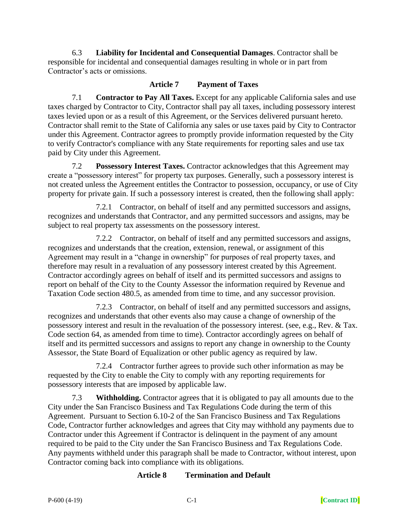6.3 **Liability for Incidental and Consequential Damages**. Contractor shall be responsible for incidental and consequential damages resulting in whole or in part from Contractor's acts or omissions.

### **Article 7 Payment of Taxes**

7.1 **Contractor to Pay All Taxes.** Except for any applicable California sales and use taxes charged by Contractor to City, Contractor shall pay all taxes, including possessory interest taxes levied upon or as a result of this Agreement, or the Services delivered pursuant hereto. Contractor shall remit to the State of California any sales or use taxes paid by City to Contractor under this Agreement. Contractor agrees to promptly provide information requested by the City to verify Contractor's compliance with any State requirements for reporting sales and use tax paid by City under this Agreement.

7.2 **Possessory Interest Taxes.** Contractor acknowledges that this Agreement may create a "possessory interest" for property tax purposes. Generally, such a possessory interest is not created unless the Agreement entitles the Contractor to possession, occupancy, or use of City property for private gain. If such a possessory interest is created, then the following shall apply:

7.2.1 Contractor, on behalf of itself and any permitted successors and assigns, recognizes and understands that Contractor, and any permitted successors and assigns, may be subject to real property tax assessments on the possessory interest.

7.2.2 Contractor, on behalf of itself and any permitted successors and assigns, recognizes and understands that the creation, extension, renewal, or assignment of this Agreement may result in a "change in ownership" for purposes of real property taxes, and therefore may result in a revaluation of any possessory interest created by this Agreement. Contractor accordingly agrees on behalf of itself and its permitted successors and assigns to report on behalf of the City to the County Assessor the information required by Revenue and Taxation Code section 480.5, as amended from time to time, and any successor provision.

7.2.3 Contractor, on behalf of itself and any permitted successors and assigns, recognizes and understands that other events also may cause a change of ownership of the possessory interest and result in the revaluation of the possessory interest. (see, e.g., Rev. & Tax. Code section 64, as amended from time to time). Contractor accordingly agrees on behalf of itself and its permitted successors and assigns to report any change in ownership to the County Assessor, the State Board of Equalization or other public agency as required by law.

7.2.4 Contractor further agrees to provide such other information as may be requested by the City to enable the City to comply with any reporting requirements for possessory interests that are imposed by applicable law.

7.3 **Withholding.** Contractor agrees that it is obligated to pay all amounts due to the City under the San Francisco Business and Tax Regulations Code during the term of this Agreement. Pursuant to Section 6.10-2 of the San Francisco Business and Tax Regulations Code, Contractor further acknowledges and agrees that City may withhold any payments due to Contractor under this Agreement if Contractor is delinquent in the payment of any amount required to be paid to the City under the San Francisco Business and Tax Regulations Code. Any payments withheld under this paragraph shall be made to Contractor, without interest, upon Contractor coming back into compliance with its obligations.

### **Article 8 Termination and Default**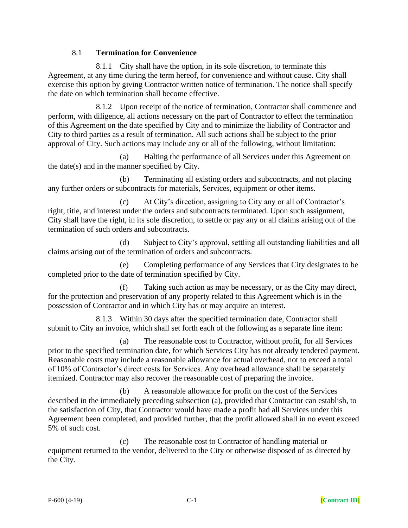### 8.1 **Termination for Convenience**

8.1.1 City shall have the option, in its sole discretion, to terminate this Agreement, at any time during the term hereof, for convenience and without cause. City shall exercise this option by giving Contractor written notice of termination. The notice shall specify the date on which termination shall become effective.

8.1.2 Upon receipt of the notice of termination, Contractor shall commence and perform, with diligence, all actions necessary on the part of Contractor to effect the termination of this Agreement on the date specified by City and to minimize the liability of Contractor and City to third parties as a result of termination. All such actions shall be subject to the prior approval of City. Such actions may include any or all of the following, without limitation:

(a) Halting the performance of all Services under this Agreement on the date(s) and in the manner specified by City.

(b) Terminating all existing orders and subcontracts, and not placing any further orders or subcontracts for materials, Services, equipment or other items.

(c) At City's direction, assigning to City any or all of Contractor's right, title, and interest under the orders and subcontracts terminated. Upon such assignment, City shall have the right, in its sole discretion, to settle or pay any or all claims arising out of the termination of such orders and subcontracts.

(d) Subject to City's approval, settling all outstanding liabilities and all claims arising out of the termination of orders and subcontracts.

(e) Completing performance of any Services that City designates to be completed prior to the date of termination specified by City.

(f) Taking such action as may be necessary, or as the City may direct, for the protection and preservation of any property related to this Agreement which is in the possession of Contractor and in which City has or may acquire an interest.

8.1.3 Within 30 days after the specified termination date, Contractor shall submit to City an invoice, which shall set forth each of the following as a separate line item:

(a) The reasonable cost to Contractor, without profit, for all Services prior to the specified termination date, for which Services City has not already tendered payment. Reasonable costs may include a reasonable allowance for actual overhead, not to exceed a total of 10% of Contractor's direct costs for Services. Any overhead allowance shall be separately itemized. Contractor may also recover the reasonable cost of preparing the invoice.

(b) A reasonable allowance for profit on the cost of the Services described in the immediately preceding subsection (a), provided that Contractor can establish, to the satisfaction of City, that Contractor would have made a profit had all Services under this Agreement been completed, and provided further, that the profit allowed shall in no event exceed 5% of such cost.

(c) The reasonable cost to Contractor of handling material or equipment returned to the vendor, delivered to the City or otherwise disposed of as directed by the City.

P-600 (4-19) C-1 **[Contract ID]**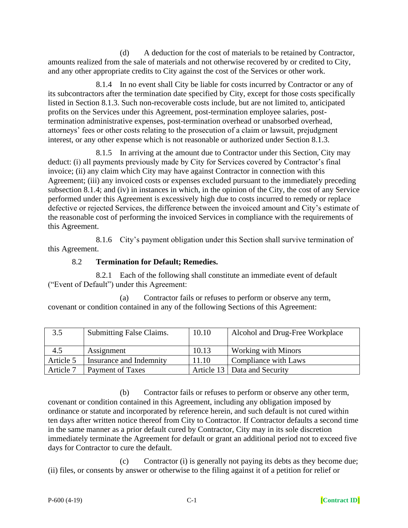(d) A deduction for the cost of materials to be retained by Contractor, amounts realized from the sale of materials and not otherwise recovered by or credited to City, and any other appropriate credits to City against the cost of the Services or other work.

8.1.4 In no event shall City be liable for costs incurred by Contractor or any of its subcontractors after the termination date specified by City, except for those costs specifically listed in Section 8.1.3. Such non-recoverable costs include, but are not limited to, anticipated profits on the Services under this Agreement, post-termination employee salaries, posttermination administrative expenses, post-termination overhead or unabsorbed overhead, attorneys' fees or other costs relating to the prosecution of a claim or lawsuit, prejudgment interest, or any other expense which is not reasonable or authorized under Section 8.1.3.

8.1.5 In arriving at the amount due to Contractor under this Section, City may deduct: (i) all payments previously made by City for Services covered by Contractor's final invoice; (ii) any claim which City may have against Contractor in connection with this Agreement; (iii) any invoiced costs or expenses excluded pursuant to the immediately preceding subsection 8.1.4; and (iv) in instances in which, in the opinion of the City, the cost of any Service performed under this Agreement is excessively high due to costs incurred to remedy or replace defective or rejected Services, the difference between the invoiced amount and City's estimate of the reasonable cost of performing the invoiced Services in compliance with the requirements of this Agreement.

8.1.6 City's payment obligation under this Section shall survive termination of this Agreement.

#### 8.2 **Termination for Default; Remedies.**

8.2.1 Each of the following shall constitute an immediate event of default ("Event of Default") under this Agreement:

(a) Contractor fails or refuses to perform or observe any term, covenant or condition contained in any of the following Sections of this Agreement:

| 3.5       | Submitting False Claims. | 10.10 | Alcohol and Drug-Free Workplace |
|-----------|--------------------------|-------|---------------------------------|
| 4.5       | Assignment               | 10.13 | <b>Working with Minors</b>      |
| Article 5 | Insurance and Indemnity  | 11.10 | Compliance with Laws            |
| Article 7 | Payment of Taxes         |       | Article 13   Data and Security  |

(b) Contractor fails or refuses to perform or observe any other term, covenant or condition contained in this Agreement, including any obligation imposed by ordinance or statute and incorporated by reference herein, and such default is not cured within ten days after written notice thereof from City to Contractor. If Contractor defaults a second time in the same manner as a prior default cured by Contractor, City may in its sole discretion immediately terminate the Agreement for default or grant an additional period not to exceed five days for Contractor to cure the default.

(c) Contractor (i) is generally not paying its debts as they become due; (ii) files, or consents by answer or otherwise to the filing against it of a petition for relief or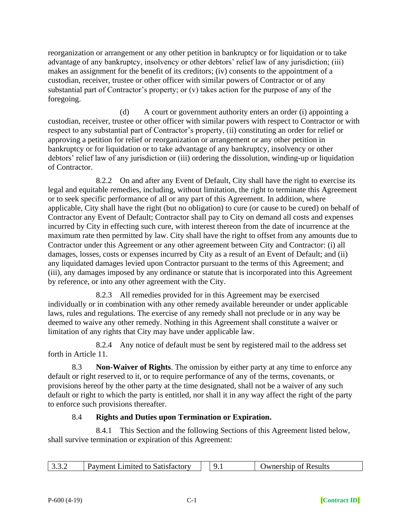reorganization or arrangement or any other petition in bankruptcy or for liquidation or to take advantage of any bankruptcy, insolvency or other debtors' relief law of any jurisdiction; (iii) makes an assignment for the benefit of its creditors; (iv) consents to the appointment of a custodian, receiver, trustee or other officer with similar powers of Contractor or of any substantial part of Contractor's property; or (v) takes action for the purpose of any of the foregoing.

(d) A court or government authority enters an order (i) appointing a custodian, receiver, trustee or other officer with similar powers with respect to Contractor or with respect to any substantial part of Contractor's property, (ii) constituting an order for relief or approving a petition for relief or reorganization or arrangement or any other petition in bankruptcy or for liquidation or to take advantage of any bankruptcy, insolvency or other debtors' relief law of any jurisdiction or (iii) ordering the dissolution, winding-up or liquidation of Contractor.

8.2.2 On and after any Event of Default, City shall have the right to exercise its legal and equitable remedies, including, without limitation, the right to terminate this Agreement or to seek specific performance of all or any part of this Agreement. In addition, where applicable, City shall have the right (but no obligation) to cure (or cause to be cured) on behalf of Contractor any Event of Default; Contractor shall pay to City on demand all costs and expenses incurred by City in effecting such cure, with interest thereon from the date of incurrence at the maximum rate then permitted by law. City shall have the right to offset from any amounts due to Contractor under this Agreement or any other agreement between City and Contractor: (i) all damages, losses, costs or expenses incurred by City as a result of an Event of Default; and (ii) any liquidated damages levied upon Contractor pursuant to the terms of this Agreement; and (iii), any damages imposed by any ordinance or statute that is incorporated into this Agreement by reference, or into any other agreement with the City.

8.2.3 All remedies provided for in this Agreement may be exercised individually or in combination with any other remedy available hereunder or under applicable laws, rules and regulations. The exercise of any remedy shall not preclude or in any way be deemed to waive any other remedy. Nothing in this Agreement shall constitute a waiver or limitation of any rights that City may have under applicable law.

8.2.4 Any notice of default must be sent by registered mail to the address set forth in Article 11.

8.3 **Non-Waiver of Rights**. The omission by either party at any time to enforce any default or right reserved to it, or to require performance of any of the terms, covenants, or provisions hereof by the other party at the time designated, shall not be a waiver of any such default or right to which the party is entitled, nor shall it in any way affect the right of the party to enforce such provisions thereafter.

### 8.4 **Rights and Duties upon Termination or Expiration.**

8.4.1 This Section and the following Sections of this Agreement listed below, shall survive termination or expiration of this Agreement:

| zavment Limited to Satisfactory |  |  | <b>T</b> Numership of Results |
|---------------------------------|--|--|-------------------------------|
|---------------------------------|--|--|-------------------------------|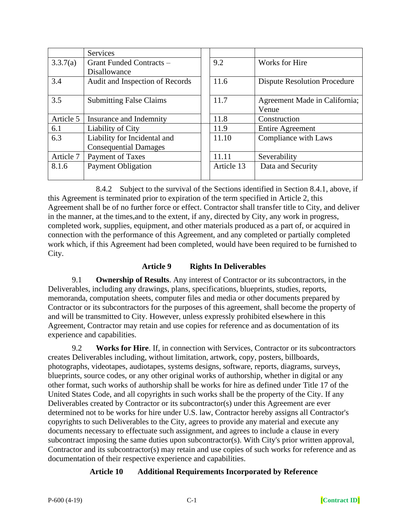|           | <b>Services</b>                 |            |                                     |
|-----------|---------------------------------|------------|-------------------------------------|
| 3.3.7(a)  | Grant Funded Contracts -        | 9.2        | Works for Hire                      |
|           | <b>Disallowance</b>             |            |                                     |
| 3.4       | Audit and Inspection of Records | 11.6       | <b>Dispute Resolution Procedure</b> |
|           |                                 |            |                                     |
| 3.5       | <b>Submitting False Claims</b>  | 11.7       | Agreement Made in California;       |
|           |                                 |            | Venue                               |
| Article 5 | Insurance and Indemnity         | 11.8       | Construction                        |
| 6.1       | Liability of City               | 11.9       | <b>Entire Agreement</b>             |
| 6.3       | Liability for Incidental and    | 11.10      | Compliance with Laws                |
|           | <b>Consequential Damages</b>    |            |                                     |
| Article 7 | Payment of Taxes                | 11.11      | Severability                        |
| 8.1.6     | <b>Payment Obligation</b>       | Article 13 | Data and Security                   |
|           |                                 |            |                                     |

8.4.2 Subject to the survival of the Sections identified in Section 8.4.1, above, if this Agreement is terminated prior to expiration of the term specified in Article 2, this Agreement shall be of no further force or effect. Contractor shall transfer title to City, and deliver in the manner, at the times,and to the extent, if any, directed by City, any work in progress, completed work, supplies, equipment, and other materials produced as a part of, or acquired in connection with the performance of this Agreement, and any completed or partially completed work which, if this Agreement had been completed, would have been required to be furnished to City.

### **Article 9 Rights In Deliverables**

9.1 **Ownership of Results**. Any interest of Contractor or its subcontractors, in the Deliverables, including any drawings, plans, specifications, blueprints, studies, reports, memoranda, computation sheets, computer files and media or other documents prepared by Contractor or its subcontractors for the purposes of this agreement, shall become the property of and will be transmitted to City. However, unless expressly prohibited elsewhere in this Agreement, Contractor may retain and use copies for reference and as documentation of its experience and capabilities.

9.2 **Works for Hire**. If, in connection with Services, Contractor or its subcontractors creates Deliverables including, without limitation, artwork, copy, posters, billboards, photographs, videotapes, audiotapes, systems designs, software, reports, diagrams, surveys, blueprints, source codes, or any other original works of authorship, whether in digital or any other format, such works of authorship shall be works for hire as defined under Title 17 of the United States Code, and all copyrights in such works shall be the property of the City. If any Deliverables created by Contractor or its subcontractor(s) under this Agreement are ever determined not to be works for hire under U.S. law, Contractor hereby assigns all Contractor's copyrights to such Deliverables to the City, agrees to provide any material and execute any documents necessary to effectuate such assignment, and agrees to include a clause in every subcontract imposing the same duties upon subcontractor(s). With City's prior written approval, Contractor and its subcontractor(s) may retain and use copies of such works for reference and as documentation of their respective experience and capabilities.

### **Article 10 Additional Requirements Incorporated by Reference**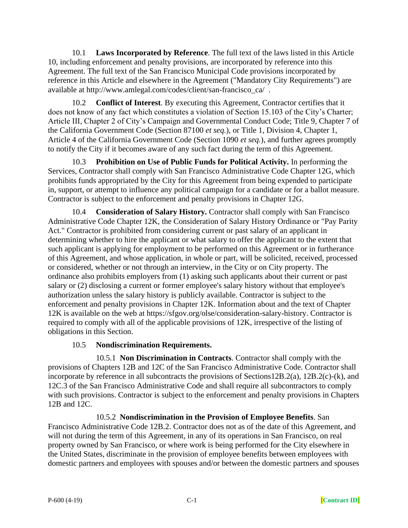10.1 **Laws Incorporated by Reference**. The full text of the laws listed in this Article 10, including enforcement and penalty provisions, are incorporated by reference into this Agreement. The full text of the San Francisco Municipal Code provisions incorporated by reference in this Article and elsewhere in the Agreement ("Mandatory City Requirements") are available at http://www.amlegal.com/codes/client/san-francisco\_ca/ .

10.2 **Conflict of Interest**. By executing this Agreement, Contractor certifies that it does not know of any fact which constitutes a violation of Section 15.103 of the City's Charter; Article III, Chapter 2 of City's Campaign and Governmental Conduct Code; Title 9, Chapter 7 of the California Government Code (Section 87100 *et seq.*), or Title 1, Division 4, Chapter 1, Article 4 of the California Government Code (Section 1090 *et seq.*), and further agrees promptly to notify the City if it becomes aware of any such fact during the term of this Agreement.

10.3 **Prohibition on Use of Public Funds for Political Activity.** In performing the Services, Contractor shall comply with San Francisco Administrative Code Chapter 12G, which prohibits funds appropriated by the City for this Agreement from being expended to participate in, support, or attempt to influence any political campaign for a candidate or for a ballot measure. Contractor is subject to the enforcement and penalty provisions in Chapter 12G.

10.4 **Consideration of Salary History.** Contractor shall comply with San Francisco Administrative Code Chapter 12K, the Consideration of Salary History Ordinance or "Pay Parity Act." Contractor is prohibited from considering current or past salary of an applicant in determining whether to hire the applicant or what salary to offer the applicant to the extent that such applicant is applying for employment to be performed on this Agreement or in furtherance of this Agreement, and whose application, in whole or part, will be solicited, received, processed or considered, whether or not through an interview, in the City or on City property. The ordinance also prohibits employers from (1) asking such applicants about their current or past salary or (2) disclosing a current or former employee's salary history without that employee's authorization unless the salary history is publicly available. Contractor is subject to the enforcement and penalty provisions in Chapter 12K. Information about and the text of Chapter 12K is available on the web at https://sfgov.org/olse/consideration-salary-history. Contractor is required to comply with all of the applicable provisions of 12K, irrespective of the listing of obligations in this Section.

# 10.5 **Nondiscrimination Requirements.**

10.5.1 **Non Discrimination in Contracts**. Contractor shall comply with the provisions of Chapters 12B and 12C of the San Francisco Administrative Code. Contractor shall incorporate by reference in all subcontracts the provisions of Sections12B.2(a), 12B.2(c)-(k), and 12C.3 of the San Francisco Administrative Code and shall require all subcontractors to comply with such provisions. Contractor is subject to the enforcement and penalty provisions in Chapters 12B and 12C.

10.5.2 **Nondiscrimination in the Provision of Employee Benefits**. San Francisco Administrative Code 12B.2. Contractor does not as of the date of this Agreement, and will not during the term of this Agreement, in any of its operations in San Francisco, on real property owned by San Francisco, or where work is being performed for the City elsewhere in the United States, discriminate in the provision of employee benefits between employees with domestic partners and employees with spouses and/or between the domestic partners and spouses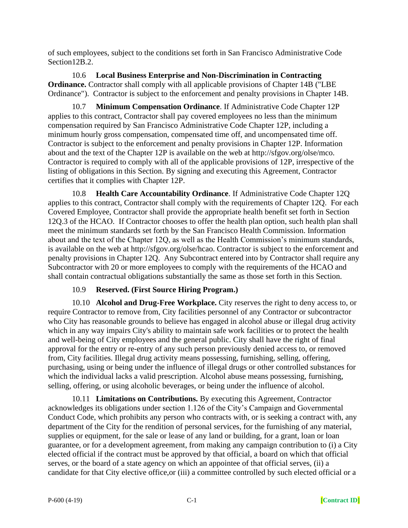of such employees, subject to the conditions set forth in San Francisco Administrative Code Section<sub>12B.2</sub>.

10.6 **Local Business Enterprise and Non-Discrimination in Contracting Ordinance.** Contractor shall comply with all applicable provisions of Chapter 14B ("LBE Ordinance"). Contractor is subject to the enforcement and penalty provisions in Chapter 14B.

10.7 **Minimum Compensation Ordinance**. If Administrative Code Chapter 12P applies to this contract, Contractor shall pay covered employees no less than the minimum compensation required by San Francisco Administrative Code Chapter 12P, including a minimum hourly gross compensation, compensated time off, and uncompensated time off. Contractor is subject to the enforcement and penalty provisions in Chapter 12P. Information about and the text of the Chapter 12P is available on the web at http://sfgov.org/olse/mco. Contractor is required to comply with all of the applicable provisions of 12P, irrespective of the listing of obligations in this Section. By signing and executing this Agreement, Contractor certifies that it complies with Chapter 12P.

10.8 **Health Care Accountability Ordinance**. If Administrative Code Chapter 12Q applies to this contract, Contractor shall comply with the requirements of Chapter 12Q. For each Covered Employee, Contractor shall provide the appropriate health benefit set forth in Section 12Q.3 of the HCAO. If Contractor chooses to offer the health plan option, such health plan shall meet the minimum standards set forth by the San Francisco Health Commission. Information about and the text of the Chapter 12Q, as well as the Health Commission's minimum standards, is available on the web at http://sfgov.org/olse/hcao. Contractor is subject to the enforcement and penalty provisions in Chapter 12Q. Any Subcontract entered into by Contractor shall require any Subcontractor with 20 or more employees to comply with the requirements of the HCAO and shall contain contractual obligations substantially the same as those set forth in this Section.

# 10.9 **Reserved. (First Source Hiring Program.)**

10.10 **Alcohol and Drug-Free Workplace.** City reserves the right to deny access to, or require Contractor to remove from, City facilities personnel of any Contractor or subcontractor who City has reasonable grounds to believe has engaged in alcohol abuse or illegal drug activity which in any way impairs City's ability to maintain safe work facilities or to protect the health and well-being of City employees and the general public. City shall have the right of final approval for the entry or re-entry of any such person previously denied access to, or removed from, City facilities. Illegal drug activity means possessing, furnishing, selling, offering, purchasing, using or being under the influence of illegal drugs or other controlled substances for which the individual lacks a valid prescription. Alcohol abuse means possessing, furnishing, selling, offering, or using alcoholic beverages, or being under the influence of alcohol.

10.11 **Limitations on Contributions.** By executing this Agreement, Contractor acknowledges its obligations under section 1.126 of the City's Campaign and Governmental Conduct Code, which prohibits any person who contracts with, or is seeking a contract with, any department of the City for the rendition of personal services, for the furnishing of any material, supplies or equipment, for the sale or lease of any land or building, for a grant, loan or loan guarantee, or for a development agreement, from making any campaign contribution to (i) a City elected official if the contract must be approved by that official, a board on which that official serves, or the board of a state agency on which an appointee of that official serves, (ii) a candidate for that City elective office,or (iii) a committee controlled by such elected official or a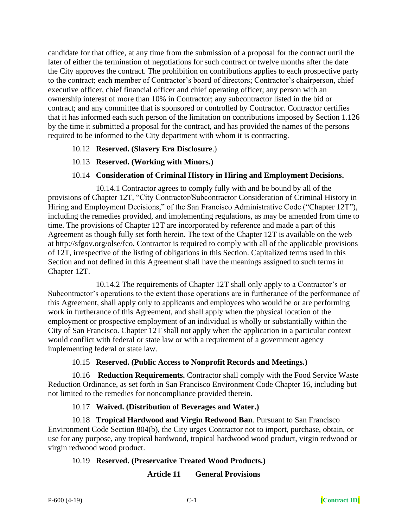candidate for that office, at any time from the submission of a proposal for the contract until the later of either the termination of negotiations for such contract or twelve months after the date the City approves the contract. The prohibition on contributions applies to each prospective party to the contract; each member of Contractor's board of directors; Contractor's chairperson, chief executive officer, chief financial officer and chief operating officer; any person with an ownership interest of more than 10% in Contractor; any subcontractor listed in the bid or contract; and any committee that is sponsored or controlled by Contractor. Contractor certifies that it has informed each such person of the limitation on contributions imposed by Section 1.126 by the time it submitted a proposal for the contract, and has provided the names of the persons required to be informed to the City department with whom it is contracting.

- 10.12 **Reserved. (Slavery Era Disclosure**.)
- 10.13 **Reserved. (Working with Minors.)**

#### 10.14 **Consideration of Criminal History in Hiring and Employment Decisions.**

10.14.1 Contractor agrees to comply fully with and be bound by all of the provisions of Chapter 12T, "City Contractor/Subcontractor Consideration of Criminal History in Hiring and Employment Decisions," of the San Francisco Administrative Code ("Chapter 12T"), including the remedies provided, and implementing regulations, as may be amended from time to time. The provisions of Chapter 12T are incorporated by reference and made a part of this Agreement as though fully set forth herein. The text of the Chapter 12T is available on the web at http://sfgov.org/olse/fco. Contractor is required to comply with all of the applicable provisions of 12T, irrespective of the listing of obligations in this Section. Capitalized terms used in this Section and not defined in this Agreement shall have the meanings assigned to such terms in Chapter 12T.

10.14.2 The requirements of Chapter 12T shall only apply to a Contractor's or Subcontractor's operations to the extent those operations are in furtherance of the performance of this Agreement, shall apply only to applicants and employees who would be or are performing work in furtherance of this Agreement, and shall apply when the physical location of the employment or prospective employment of an individual is wholly or substantially within the City of San Francisco. Chapter 12T shall not apply when the application in a particular context would conflict with federal or state law or with a requirement of a government agency implementing federal or state law.

#### 10.15 **Reserved. (Public Access to Nonprofit Records and Meetings.)**

10.16 **Reduction Requirements.** Contractor shall comply with the Food Service Waste Reduction Ordinance, as set forth in San Francisco Environment Code Chapter 16, including but not limited to the remedies for noncompliance provided therein.

### 10.17 **Waived. (Distribution of Beverages and Water.)**

10.18 **Tropical Hardwood and Virgin Redwood Ban**. Pursuant to San Francisco Environment Code Section 804(b), the City urges Contractor not to import, purchase, obtain, or use for any purpose, any tropical hardwood, tropical hardwood wood product, virgin redwood or virgin redwood wood product.

### 10.19 **Reserved. (Preservative Treated Wood Products.)**

### **Article 11 General Provisions**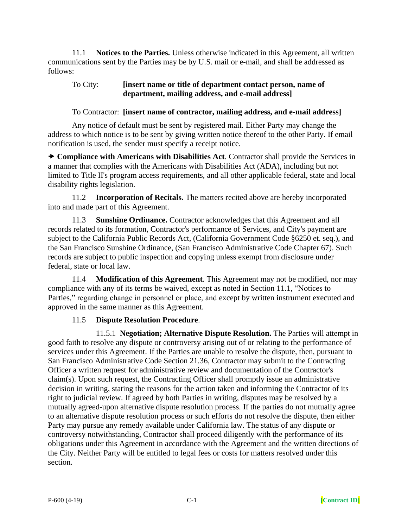11.1 **Notices to the Parties.** Unless otherwise indicated in this Agreement, all written communications sent by the Parties may be by U.S. mail or e-mail, and shall be addressed as follows:

### To City: **[insert name or title of department contact person, name of department, mailing address, and e-mail address]**

To Contractor: **[insert name of contractor, mailing address, and e-mail address]**

Any notice of default must be sent by registered mail. Either Party may change the address to which notice is to be sent by giving written notice thereof to the other Party. If email notification is used, the sender must specify a receipt notice.

 **Compliance with Americans with Disabilities Act**. Contractor shall provide the Services in a manner that complies with the Americans with Disabilities Act (ADA), including but not limited to Title II's program access requirements, and all other applicable federal, state and local disability rights legislation.

11.2 **Incorporation of Recitals.** The matters recited above are hereby incorporated into and made part of this Agreement.

11.3 **Sunshine Ordinance.** Contractor acknowledges that this Agreement and all records related to its formation, Contractor's performance of Services, and City's payment are subject to the California Public Records Act, (California Government Code §6250 et. seq.), and the San Francisco Sunshine Ordinance, (San Francisco Administrative Code Chapter 67). Such records are subject to public inspection and copying unless exempt from disclosure under federal, state or local law.

11.4 **Modification of this Agreement**. This Agreement may not be modified, nor may compliance with any of its terms be waived, except as noted in Section 11.1, "Notices to Parties," regarding change in personnel or place, and except by written instrument executed and approved in the same manner as this Agreement.

# 11.5 **Dispute Resolution Procedure**.

11.5.1 **Negotiation; Alternative Dispute Resolution.** The Parties will attempt in good faith to resolve any dispute or controversy arising out of or relating to the performance of services under this Agreement. If the Parties are unable to resolve the dispute, then, pursuant to San Francisco Administrative Code Section 21.36, Contractor may submit to the Contracting Officer a written request for administrative review and documentation of the Contractor's claim(s). Upon such request, the Contracting Officer shall promptly issue an administrative decision in writing, stating the reasons for the action taken and informing the Contractor of its right to judicial review. If agreed by both Parties in writing, disputes may be resolved by a mutually agreed-upon alternative dispute resolution process. If the parties do not mutually agree to an alternative dispute resolution process or such efforts do not resolve the dispute, then either Party may pursue any remedy available under California law. The status of any dispute or controversy notwithstanding, Contractor shall proceed diligently with the performance of its obligations under this Agreement in accordance with the Agreement and the written directions of the City. Neither Party will be entitled to legal fees or costs for matters resolved under this section.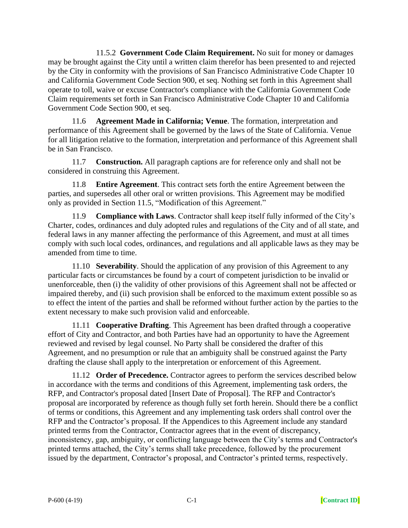11.5.2 **Government Code Claim Requirement.** No suit for money or damages may be brought against the City until a written claim therefor has been presented to and rejected by the City in conformity with the provisions of San Francisco Administrative Code Chapter 10 and California Government Code Section 900, et seq. Nothing set forth in this Agreement shall operate to toll, waive or excuse Contractor's compliance with the California Government Code Claim requirements set forth in San Francisco Administrative Code Chapter 10 and California Government Code Section 900, et seq.

11.6 **Agreement Made in California; Venue**. The formation, interpretation and performance of this Agreement shall be governed by the laws of the State of California. Venue for all litigation relative to the formation, interpretation and performance of this Agreement shall be in San Francisco.

11.7 **Construction.** All paragraph captions are for reference only and shall not be considered in construing this Agreement.

11.8 **Entire Agreement**. This contract sets forth the entire Agreement between the parties, and supersedes all other oral or written provisions. This Agreement may be modified only as provided in Section 11.5, "Modification of this Agreement."

11.9 **Compliance with Laws**. Contractor shall keep itself fully informed of the City's Charter, codes, ordinances and duly adopted rules and regulations of the City and of all state, and federal laws in any manner affecting the performance of this Agreement, and must at all times comply with such local codes, ordinances, and regulations and all applicable laws as they may be amended from time to time.

11.10 **Severability**. Should the application of any provision of this Agreement to any particular facts or circumstances be found by a court of competent jurisdiction to be invalid or unenforceable, then (i) the validity of other provisions of this Agreement shall not be affected or impaired thereby, and (ii) such provision shall be enforced to the maximum extent possible so as to effect the intent of the parties and shall be reformed without further action by the parties to the extent necessary to make such provision valid and enforceable.

11.11 **Cooperative Drafting**. This Agreement has been drafted through a cooperative effort of City and Contractor, and both Parties have had an opportunity to have the Agreement reviewed and revised by legal counsel. No Party shall be considered the drafter of this Agreement, and no presumption or rule that an ambiguity shall be construed against the Party drafting the clause shall apply to the interpretation or enforcement of this Agreement.

11.12 **Order of Precedence.** Contractor agrees to perform the services described below in accordance with the terms and conditions of this Agreement, implementing task orders, the RFP, and Contractor's proposal dated [Insert Date of Proposal]. The RFP and Contractor's proposal are incorporated by reference as though fully set forth herein. Should there be a conflict of terms or conditions, this Agreement and any implementing task orders shall control over the RFP and the Contractor's proposal. If the Appendices to this Agreement include any standard printed terms from the Contractor, Contractor agrees that in the event of discrepancy, inconsistency, gap, ambiguity, or conflicting language between the City's terms and Contractor's printed terms attached, the City's terms shall take precedence, followed by the procurement issued by the department, Contractor's proposal, and Contractor's printed terms, respectively.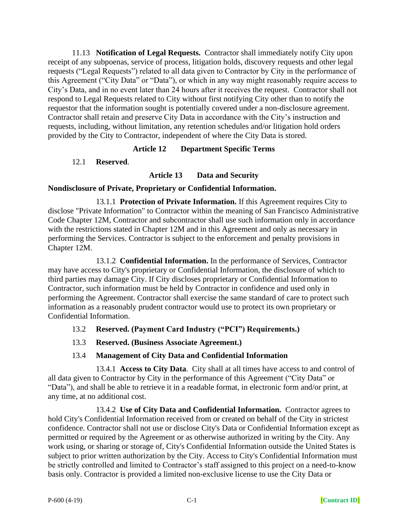11.13 **Notification of Legal Requests.** Contractor shall immediately notify City upon receipt of any subpoenas, service of process, litigation holds, discovery requests and other legal requests ("Legal Requests") related to all data given to Contractor by City in the performance of this Agreement ("City Data" or "Data"), or which in any way might reasonably require access to City's Data, and in no event later than 24 hours after it receives the request. Contractor shall not respond to Legal Requests related to City without first notifying City other than to notify the requestor that the information sought is potentially covered under a non-disclosure agreement. Contractor shall retain and preserve City Data in accordance with the City's instruction and requests, including, without limitation, any retention schedules and/or litigation hold orders provided by the City to Contractor, independent of where the City Data is stored.

## **Article 12 Department Specific Terms**

### 12.1 **Reserved**.

## **Article 13 Data and Security**

### **Nondisclosure of Private, Proprietary or Confidential Information.**

13.1.1 **Protection of Private Information.** If this Agreement requires City to disclose "Private Information" to Contractor within the meaning of San Francisco Administrative Code Chapter 12M, Contractor and subcontractor shall use such information only in accordance with the restrictions stated in Chapter 12M and in this Agreement and only as necessary in performing the Services. Contractor is subject to the enforcement and penalty provisions in Chapter 12M.

13.1.2 **Confidential Information.** In the performance of Services, Contractor may have access to City's proprietary or Confidential Information, the disclosure of which to third parties may damage City. If City discloses proprietary or Confidential Information to Contractor, such information must be held by Contractor in confidence and used only in performing the Agreement. Contractor shall exercise the same standard of care to protect such information as a reasonably prudent contractor would use to protect its own proprietary or Confidential Information.

### 13.2 **Reserved. (Payment Card Industry ("PCI") Requirements.)**

13.3 **Reserved. (Business Associate Agreement.)**

# 13.4 **Management of City Data and Confidential Information**

13.4.1 **Access to City Data**. City shall at all times have access to and control of all data given to Contractor by City in the performance of this Agreement ("City Data" or "Data"), and shall be able to retrieve it in a readable format, in electronic form and/or print, at any time, at no additional cost.

13.4.2 **Use of City Data and Confidential Information.** Contractor agrees to hold City's Confidential Information received from or created on behalf of the City in strictest confidence. Contractor shall not use or disclose City's Data or Confidential Information except as permitted or required by the Agreement or as otherwise authorized in writing by the City. Any work using, or sharing or storage of, City's Confidential Information outside the United States is subject to prior written authorization by the City. Access to City's Confidential Information must be strictly controlled and limited to Contractor's staff assigned to this project on a need-to-know basis only. Contractor is provided a limited non-exclusive license to use the City Data or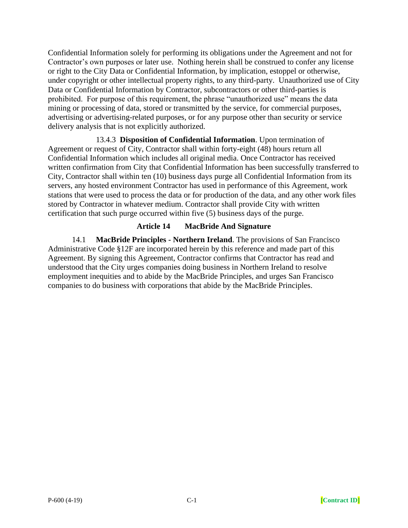Confidential Information solely for performing its obligations under the Agreement and not for Contractor's own purposes or later use. Nothing herein shall be construed to confer any license or right to the City Data or Confidential Information, by implication, estoppel or otherwise, under copyright or other intellectual property rights, to any third-party. Unauthorized use of City Data or Confidential Information by Contractor, subcontractors or other third-parties is prohibited. For purpose of this requirement, the phrase "unauthorized use" means the data mining or processing of data, stored or transmitted by the service, for commercial purposes, advertising or advertising-related purposes, or for any purpose other than security or service delivery analysis that is not explicitly authorized.

13.4.3 **Disposition of Confidential Information**. Upon termination of Agreement or request of City, Contractor shall within forty-eight (48) hours return all Confidential Information which includes all original media. Once Contractor has received written confirmation from City that Confidential Information has been successfully transferred to City, Contractor shall within ten (10) business days purge all Confidential Information from its servers, any hosted environment Contractor has used in performance of this Agreement, work stations that were used to process the data or for production of the data, and any other work files stored by Contractor in whatever medium. Contractor shall provide City with written certification that such purge occurred within five (5) business days of the purge.

### **Article 14 MacBride And Signature**

14.1 **MacBride Principles - Northern Ireland**. The provisions of San Francisco Administrative Code §12F are incorporated herein by this reference and made part of this Agreement. By signing this Agreement, Contractor confirms that Contractor has read and understood that the City urges companies doing business in Northern Ireland to resolve employment inequities and to abide by the MacBride Principles, and urges San Francisco companies to do business with corporations that abide by the MacBride Principles.